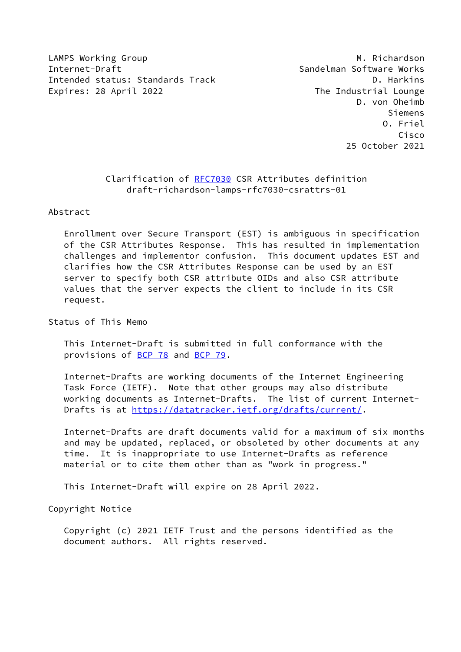LAMPS Working Group **M. Richardson** Internet-Draft Sandelman Software Works Intended status: Standards Track D. Harkins Expires: 28 April 2022 **The Industrial Lounge** 

 D. von Oheimb Siemens O. Friel Cisco 25 October 2021

## Clarification of [RFC7030](https://datatracker.ietf.org/doc/pdf/rfc7030) CSR Attributes definition draft-richardson-lamps-rfc7030-csrattrs-01

Abstract

 Enrollment over Secure Transport (EST) is ambiguous in specification of the CSR Attributes Response. This has resulted in implementation challenges and implementor confusion. This document updates EST and clarifies how the CSR Attributes Response can be used by an EST server to specify both CSR attribute OIDs and also CSR attribute values that the server expects the client to include in its CSR request.

Status of This Memo

 This Internet-Draft is submitted in full conformance with the provisions of [BCP 78](https://datatracker.ietf.org/doc/pdf/bcp78) and [BCP 79](https://datatracker.ietf.org/doc/pdf/bcp79).

 Internet-Drafts are working documents of the Internet Engineering Task Force (IETF). Note that other groups may also distribute working documents as Internet-Drafts. The list of current Internet- Drafts is at<https://datatracker.ietf.org/drafts/current/>.

 Internet-Drafts are draft documents valid for a maximum of six months and may be updated, replaced, or obsoleted by other documents at any time. It is inappropriate to use Internet-Drafts as reference material or to cite them other than as "work in progress."

This Internet-Draft will expire on 28 April 2022.

Copyright Notice

 Copyright (c) 2021 IETF Trust and the persons identified as the document authors. All rights reserved.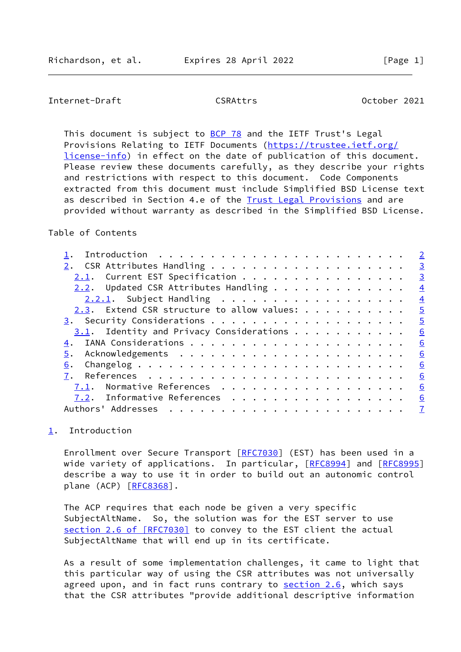## <span id="page-1-1"></span>Internet-Draft CSRAttrs October 2021

This document is subject to [BCP 78](https://datatracker.ietf.org/doc/pdf/bcp78) and the IETF Trust's Legal Provisions Relating to IETF Documents ([https://trustee.ietf.org/](https://trustee.ietf.org/license-info) [license-info](https://trustee.ietf.org/license-info)) in effect on the date of publication of this document. Please review these documents carefully, as they describe your rights and restrictions with respect to this document. Code Components extracted from this document must include Simplified BSD License text as described in Section 4.e of the [Trust Legal Provisions](https://trustee.ietf.org/license-info) and are provided without warranty as described in the Simplified BSD License.

Table of Contents

|                                             | $\overline{2}$ |
|---------------------------------------------|----------------|
|                                             | $\overline{3}$ |
| 2.1. Current EST Specification              | $\overline{3}$ |
| $2.2.$ Updated CSR Attributes Handling      | $\overline{4}$ |
| $2.2.1$ . Subject Handling                  | $\overline{4}$ |
| 2.3. Extend CSR structure to allow values:  | $\overline{5}$ |
|                                             | $\overline{5}$ |
| $3.1$ . Identity and Privacy Considerations | 6              |
|                                             | 6              |
| 5.                                          | 6              |
| 6.                                          | 6              |
|                                             | 6              |
| Normative References<br>7.1.                | 6              |
| 7.2. Informative References                 | 6              |
| Authors' Addresses                          | $\mathbf{Z}$   |
|                                             |                |

## <span id="page-1-0"></span>[1](#page-1-0). Introduction

Enrollment over Secure Transport [\[RFC7030](https://datatracker.ietf.org/doc/pdf/rfc7030)] (EST) has been used in a wide variety of applications. In particular, [[RFC8994](https://datatracker.ietf.org/doc/pdf/rfc8994)] and [\[RFC8995](https://datatracker.ietf.org/doc/pdf/rfc8995)] describe a way to use it in order to build out an autonomic control plane (ACP) [\[RFC8368](https://datatracker.ietf.org/doc/pdf/rfc8368)].

 The ACP requires that each node be given a very specific SubjectAltName. So, the solution was for the EST server to use section [2.6 of \[RFC7030\]](https://datatracker.ietf.org/doc/pdf/rfc7030#section-2.6) to convey to the EST client the actual SubjectAltName that will end up in its certificate.

 As a result of some implementation challenges, it came to light that this particular way of using the CSR attributes was not universally agreed upon, and in fact runs contrary to section 2.6, which says that the CSR attributes "provide additional descriptive information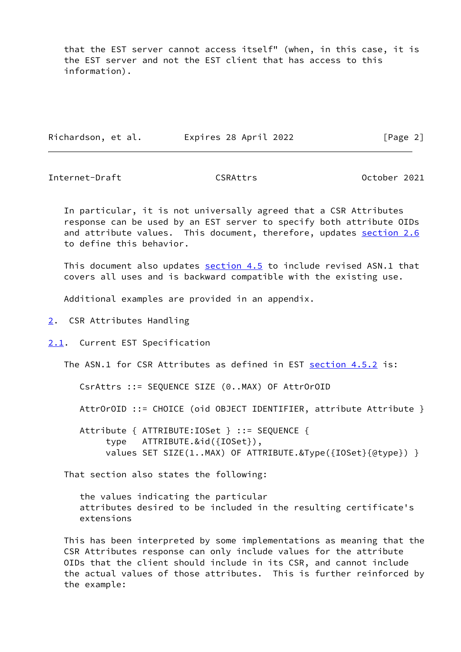that the EST server cannot access itself" (when, in this case, it is the EST server and not the EST client that has access to this information).

|  | Richardson, et al. | Expires 28 April 2022 | [Page 2] |
|--|--------------------|-----------------------|----------|
|--|--------------------|-----------------------|----------|

<span id="page-2-1"></span>Internet-Draft CSRAttrs CONTERTS CONTEXANTLE CONTEXANTLE CONTEXANTLE CONTEXANTLE CONTEXANTLE CONTEXA CONTEXANTL

 In particular, it is not universally agreed that a CSR Attributes response can be used by an EST server to specify both attribute OIDs and attribute values. This document, therefore, updates section 2.6 to define this behavior.

This document also updates section 4.5 to include revised ASN.1 that covers all uses and is backward compatible with the existing use.

Additional examples are provided in an appendix.

- <span id="page-2-0"></span>[2](#page-2-0). CSR Attributes Handling
- <span id="page-2-2"></span>[2.1](#page-2-2). Current EST Specification

The ASN.1 for CSR Attributes as defined in EST section 4.5.2 is:

CsrAttrs ::= SEQUENCE SIZE (0..MAX) OF AttrOrOID

AttrOrOID ::= CHOICE (oid OBJECT IDENTIFIER, attribute Attribute }

 Attribute { ATTRIBUTE:IOSet } ::= SEQUENCE { type ATTRIBUTE.&id({IOSet}), values SET SIZE(1..MAX) OF ATTRIBUTE.&Type({IOSet}{@type}) }

That section also states the following:

 the values indicating the particular attributes desired to be included in the resulting certificate's extensions

 This has been interpreted by some implementations as meaning that the CSR Attributes response can only include values for the attribute OIDs that the client should include in its CSR, and cannot include the actual values of those attributes. This is further reinforced by the example: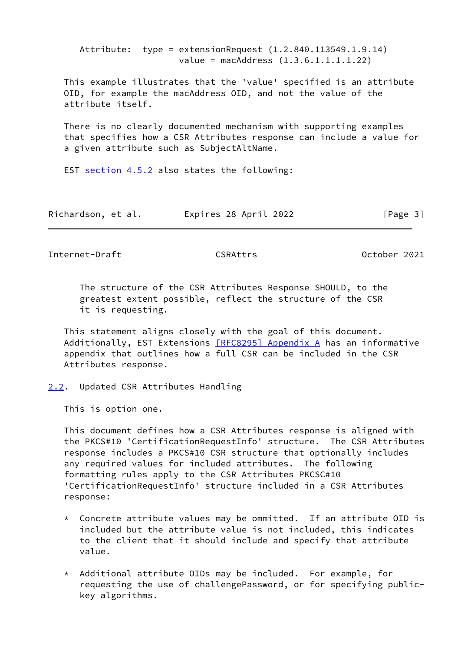Attribute: type = extensionRequest (1.2.840.113549.1.9.14) value = macAddress (1.3.6.1.1.1.1.22) This example illustrates that the 'value' specified is an attribute OID, for example the macAddress OID, and not the value of the attribute itself. There is no clearly documented mechanism with supporting examples that specifies how a CSR Attributes response can include a value for a given attribute such as SubjectAltName.

EST section 4.5.2 also states the following:

| Richardson, et al. | Expires 28 April 2022 | [Page 3] |
|--------------------|-----------------------|----------|
|--------------------|-----------------------|----------|

<span id="page-3-1"></span>Internet-Draft CSRAttrs October 2021

 The structure of the CSR Attributes Response SHOULD, to the greatest extent possible, reflect the structure of the CSR it is requesting.

 This statement aligns closely with the goal of this document. Additionally, EST Extensions [\[RFC8295\] Appendix](https://datatracker.ietf.org/doc/pdf/rfc8295#appendix-A) A has an informative appendix that outlines how a full CSR can be included in the CSR Attributes response.

<span id="page-3-0"></span>[2.2](#page-3-0). Updated CSR Attributes Handling

This is option one.

 This document defines how a CSR Attributes response is aligned with the PKCS#10 'CertificationRequestInfo' structure. The CSR Attributes response includes a PKCS#10 CSR structure that optionally includes any required values for included attributes. The following formatting rules apply to the CSR Attributes PKCSC#10 'CertificationRequestInfo' structure included in a CSR Attributes response:

- $*$  Concrete attribute values may be ommitted. If an attribute OID is included but the attribute value is not included, this indicates to the client that it should include and specify that attribute value.
- \* Additional attribute OIDs may be included. For example, for requesting the use of challengePassword, or for specifying public key algorithms.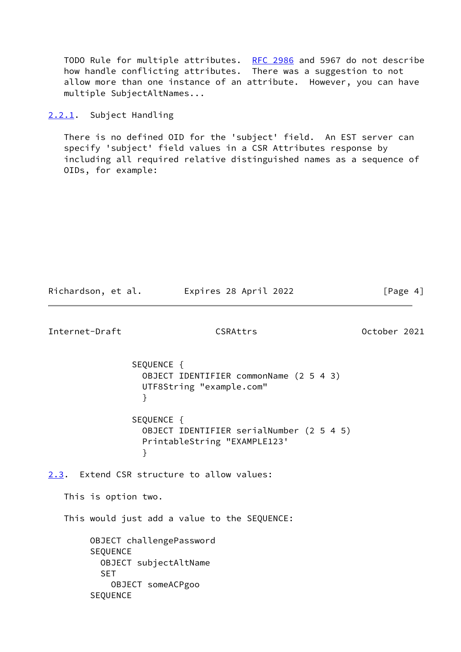TODO Rule for multiple attributes. [RFC 2986](https://datatracker.ietf.org/doc/pdf/rfc2986) and 5967 do not describe how handle conflicting attributes. There was a suggestion to not allow more than one instance of an attribute. However, you can have multiple SubjectAltNames...

<span id="page-4-0"></span>[2.2.1](#page-4-0). Subject Handling

 There is no defined OID for the 'subject' field. An EST server can specify 'subject' field values in a CSR Attributes response by including all required relative distinguished names as a sequence of OIDs, for example:

<span id="page-4-2"></span><span id="page-4-1"></span>

| Richardson, et al.                        | Expires 28 April 2022                                                                       | [Page $4$ ]  |
|-------------------------------------------|---------------------------------------------------------------------------------------------|--------------|
| Internet-Draft                            | CSRAttrs                                                                                    | October 2021 |
|                                           | SEQUENCE {<br>OBJECT IDENTIFIER commonName (2 5 4 3)<br>UTF8String "example.com"<br>}       |              |
|                                           | SEQUENCE {<br>OBJECT IDENTIFIER serialNumber (2 5 4 5)<br>PrintableString "EXAMPLE123'<br>} |              |
|                                           | 2.3. Extend CSR structure to allow values:                                                  |              |
| This is option two.                       |                                                                                             |              |
|                                           | This would just add a value to the SEQUENCE:                                                |              |
| <b>SEQUENCE</b><br><b>SET</b><br>SEQUENCE | OBJECT challengePassword<br>OBJECT subjectAltName<br>OBJECT someACPgoo                      |              |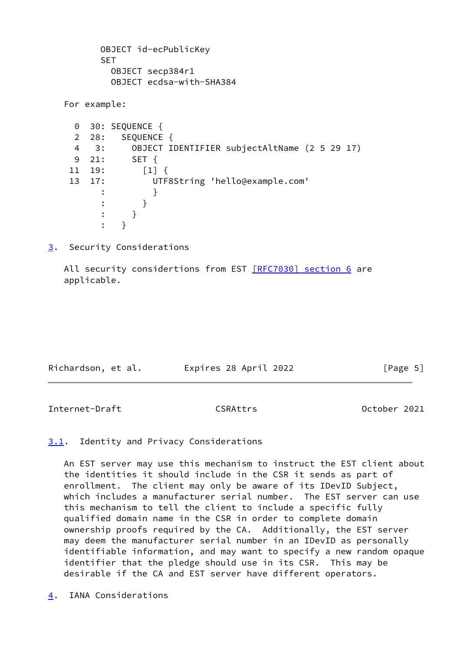```
 OBJECT id-ecPublicKey
          SET
            OBJECT secp384r1
            OBJECT ecdsa-with-SHA384
   For example:
     0 30: SEQUENCE {
     2 28: SEQUENCE {
     4 3: OBJECT IDENTIFIER subjectAltName (2 5 29 17)
     9 21: SET {
    11 19: [1] {
    13 17: UTF8String 'hello@example.com'
\cdots \cdots }
: the state \{x_i\} is the state \{x_i\} : }
\cdots }
```
<span id="page-5-0"></span>[3](#page-5-0). Security Considerations

All security considertions from EST [\[RFC7030\] section](https://datatracker.ietf.org/doc/pdf/rfc7030#section-6) 6 are applicable.

| Richardson, et al. | Expires 28 April 2022 | [Page 5] |
|--------------------|-----------------------|----------|

<span id="page-5-2"></span>Internet-Draft CSRAttrs October 2021

<span id="page-5-1"></span>[3.1](#page-5-1). Identity and Privacy Considerations

 An EST server may use this mechanism to instruct the EST client about the identities it should include in the CSR it sends as part of enrollment. The client may only be aware of its IDevID Subject, which includes a manufacturer serial number. The EST server can use this mechanism to tell the client to include a specific fully qualified domain name in the CSR in order to complete domain ownership proofs required by the CA. Additionally, the EST server may deem the manufacturer serial number in an IDevID as personally identifiable information, and may want to specify a new random opaque identifier that the pledge should use in its CSR. This may be desirable if the CA and EST server have different operators.

<span id="page-5-3"></span>[4](#page-5-3). IANA Considerations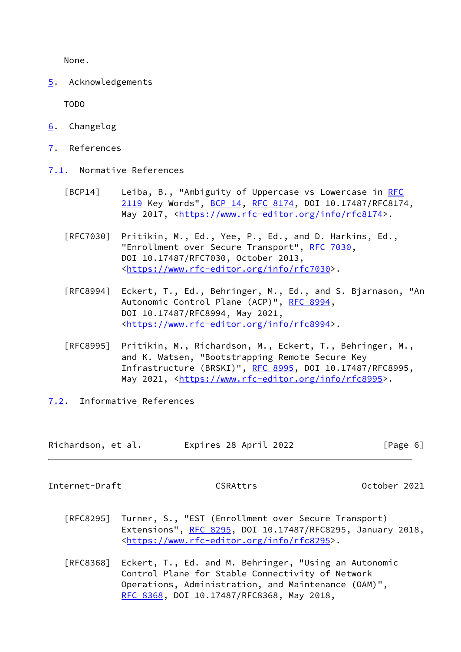None.

<span id="page-6-0"></span>[5](#page-6-0). Acknowledgements

TODO

- <span id="page-6-1"></span>[6](#page-6-1). Changelog
- <span id="page-6-2"></span>[7](#page-6-2). References
- <span id="page-6-3"></span>[7.1](#page-6-3). Normative References
	- [BCP14] Leiba, B., "Ambiguity of Uppercase vs Lowercase in [RFC](https://datatracker.ietf.org/doc/pdf/rfc2119) [2119](https://datatracker.ietf.org/doc/pdf/rfc2119) Key Words", [BCP 14](https://datatracker.ietf.org/doc/pdf/bcp14), [RFC 8174,](https://datatracker.ietf.org/doc/pdf/rfc8174) DOI 10.17487/RFC8174, May 2017, [<https://www.rfc-editor.org/info/rfc8174](https://www.rfc-editor.org/info/rfc8174)>.
	- [RFC7030] Pritikin, M., Ed., Yee, P., Ed., and D. Harkins, Ed., "Enrollment over Secure Transport", [RFC 7030,](https://datatracker.ietf.org/doc/pdf/rfc7030) DOI 10.17487/RFC7030, October 2013, <[https://www.rfc-editor.org/info/rfc7030>](https://www.rfc-editor.org/info/rfc7030).
	- [RFC8994] Eckert, T., Ed., Behringer, M., Ed., and S. Bjarnason, "An Autonomic Control Plane (ACP)", [RFC 8994,](https://datatracker.ietf.org/doc/pdf/rfc8994) DOI 10.17487/RFC8994, May 2021, <[https://www.rfc-editor.org/info/rfc8994>](https://www.rfc-editor.org/info/rfc8994).
	- [RFC8995] Pritikin, M., Richardson, M., Eckert, T., Behringer, M., and K. Watsen, "Bootstrapping Remote Secure Key Infrastructure (BRSKI)", [RFC 8995,](https://datatracker.ietf.org/doc/pdf/rfc8995) DOI 10.17487/RFC8995, May 2021, [<https://www.rfc-editor.org/info/rfc8995](https://www.rfc-editor.org/info/rfc8995)>.
- <span id="page-6-4"></span>[7.2](#page-6-4). Informative References

| Richardson, et al. | Expires 28 April 2022 | [Page 6] |
|--------------------|-----------------------|----------|
|--------------------|-----------------------|----------|

<span id="page-6-5"></span>Internet-Draft CSRAttrs October 2021

- [RFC8295] Turner, S., "EST (Enrollment over Secure Transport) Extensions", [RFC 8295](https://datatracker.ietf.org/doc/pdf/rfc8295), DOI 10.17487/RFC8295, January 2018, <[https://www.rfc-editor.org/info/rfc8295>](https://www.rfc-editor.org/info/rfc8295).
- [RFC8368] Eckert, T., Ed. and M. Behringer, "Using an Autonomic Control Plane for Stable Connectivity of Network Operations, Administration, and Maintenance (OAM)", [RFC 8368,](https://datatracker.ietf.org/doc/pdf/rfc8368) DOI 10.17487/RFC8368, May 2018,